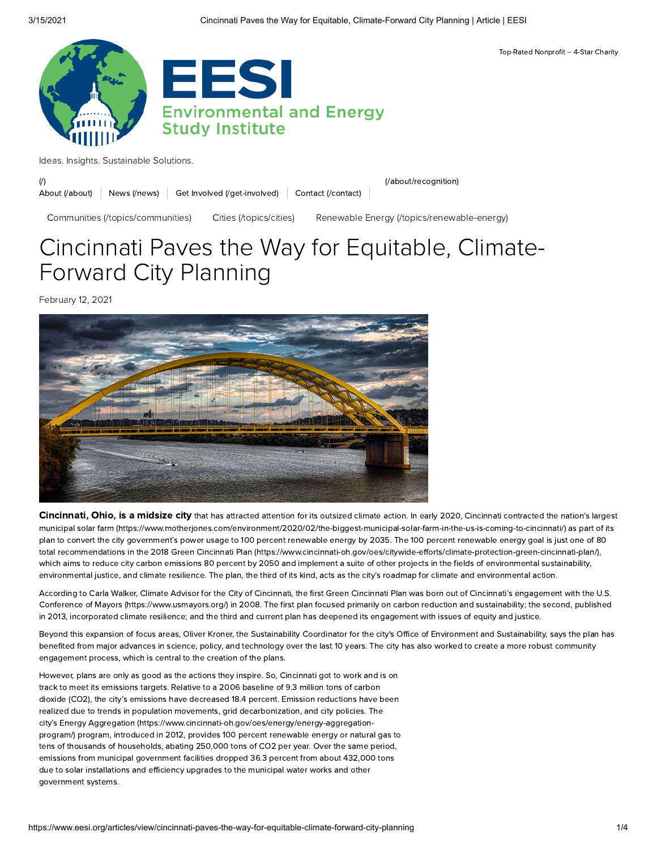

Ideas. Insights. [Sustainable](https://www.eesi.org/) Solutions.

(*l*) (*l*) the computation of the contraction of the contraction of the contraction of the contraction of the contraction of the contraction of the contraction of the contraction of the contraction of the contraction of t

News [\(/news\)](https://www.eesi.org/news) Get Involved [\(/get-involved\)](https://www.eesi.org/get-involved) Contact [\(/contact\)](https://www.eesi.org/contact) About [\(/about\)](https://www.eesi.org/about)

Communities [\(/topics/communities\)](https://www.eesi.org/topics/communities) Cities [\(/topics/cities\)](https://www.eesi.org/topics/cities) Renewable Energy [\(/topics/renewable-energy\)](https://www.eesi.org/topics/renewable-energy)

Top-Rated Nonprofit – 4-Star Charity

# Cincinnati Paves the Way for Equitable, Climate-Forward City Planning

February 12, 2021



Cincinnati, Ohio, is a midsize city that has attracted attention for its outsized climate action. In early 2020, Cincinnati contracted the nation's largest municipal solar farm [\(https://www.motherjones.com/environment/2020/02/the-biggest-municipal-solar-farm-in-the-us-is-coming-to-cincinnati/\)](https://www.motherjones.com/environment/2020/02/the-biggest-municipal-solar-farm-in-the-us-is-coming-to-cincinnati/) as part of its plan to convert the city government's power usage to 100 percent renewable energy by 2035. The 100 percent renewable energy goal is just one of 80 total recommendations in the 2018 Green Cincinnati Plan [\(https://www.cincinnati-oh.gov/oes/citywide-efforts/climate-protection-green-cincinnati-plan/\),](https://www.cincinnati-oh.gov/oes/citywide-efforts/climate-protection-green-cincinnati-plan/) which aims to reduce city carbon emissions 80 percent by 2050 and implement a suite of other projects in the fields of environmental sustainability, environmental justice, and climate resilience. The plan, the third of its kind, acts as the city's roadmap for climate and environmental action.

According to Carla Walker, Climate Advisor for the City of Cincinnati, the first Green Cincinnati Plan was born out of Cincinnati's engagement with the U.S. Conference of Mayors [\(https://www.usmayors.org/\)](https://www.usmayors.org/) in 2008. The first plan focused primarily on carbon reduction and sustainability; the second, published in 2013, incorporated climate resilience; and the third and current plan has deepened its engagement with issues of equity and justice.

Beyond this expansion of focus areas, Oliver Kroner, the Sustainability Coordinator for the city's Office of Environment and Sustainability, says the plan has benefited from major advances in science, policy, and technology over the last 10 years. The city has also worked to create a more robust community engagement process, which is central to the creation of the plans.

However, plans are only as good as the actions they inspire. So, Cincinnati got to work and is on track to meet its emissions targets. Relative to a 2006 baseline of 9.3 million tons of carbon dioxide (CO2), the city's emissions have decreased 18.4 percent. Emission reductions have been realized due to trends in population movements, grid decarbonization, and city policies. The city's Energy Aggregation [\(https://www.cincinnati-oh.gov/oes/energy/energy-aggregation](https://www.cincinnati-oh.gov/oes/energy/energy-aggregation-program/)program/) program, introduced in 2012, provides 100 percent renewable energy or natural gas to tens of thousands of households, abating 250,000 tons of CO2 per year. Over the same period, emissions from municipal government facilities dropped 36.3 percent from about 432,000 tons due to solar installations and efficiency upgrades to the municipal water works and other government systems.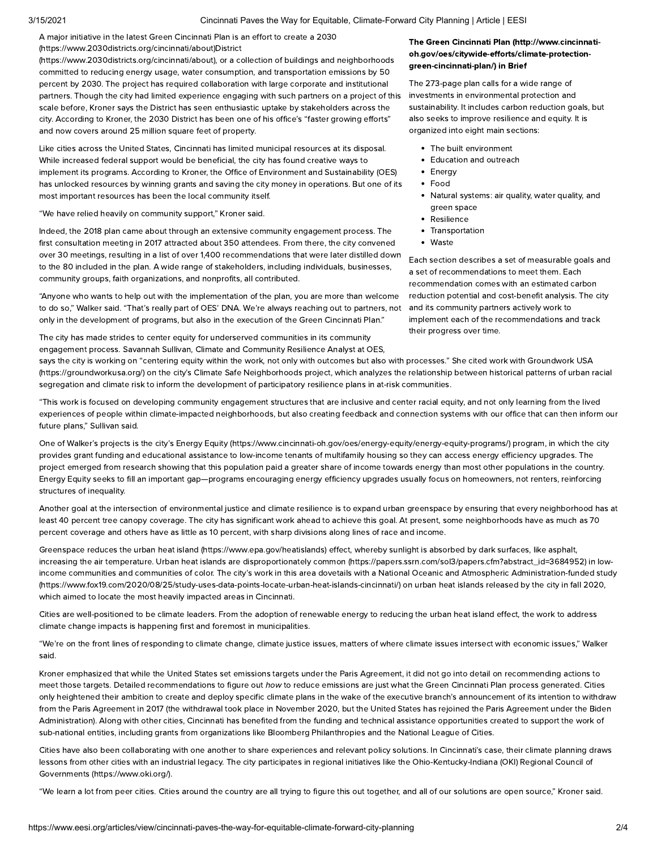### 3/15/2021 Cincinnati Paves the Way for Equitable, Climate-Forward City Planning | Article | EESI

A major initiative in the latest Green Cincinnati Plan is an effort to create a 2030 [\(https://www.2030districts.org/cincinnati/about\)District](https://www.2030districts.org/cincinnati/about)

(https://www.2030districts.org/cincinnati/about), or a collection of buildings and neighborhoods committed to reducing energy usage, water consumption, and transportation emissions by 50 percent by 2030. The project has required collaboration with large corporate and institutional partners. Though the city had limited experience engaging with such partners on a project of this scale before, Kroner says the District has seen enthusiastic uptake by stakeholders across the city. According to Kroner, the 2030 District has been one of his office's "faster growing efforts" and now covers around 25 million square feet of property.

Like cities across the United States, Cincinnati has limited municipal resources at its disposal. While increased federal support would be beneficial, the city has found creative ways to implement its programs. According to Kroner, the Office of Environment and Sustainability (OES) has unlocked resources by winning grants and saving the city money in operations. But one of its most important resources has been the local community itself.

"We have relied heavily on community support," Kroner said.

Indeed, the 2018 plan came about through an extensive community engagement process. The first consultation meeting in 2017 attracted about 350 attendees. From there, the city convened over 30 meetings, resulting in a list of over 1,400 recommendations that were later distilled down to the 80 included in the plan. A wide range of stakeholders, including individuals, businesses, community groups, faith organizations, and nonprofits, all contributed.

"Anyone who wants to help out with the implementation of the plan, you are more than welcome to do so," Walker said. "That's really part of OES' DNA. We're always reaching out to partners, not only in the development of programs, but also in the execution of the Green Cincinnati Plan."

The city has made strides to center equity for underserved communities in its community engagement process. Savannah Sullivan, Climate and Community Resilience Analyst at OES,

## The Green Cincinnati Plan (http://www.cincinnati[oh.gov/oes/citywide-efforts/climate-protection](http://www.cincinnati-oh.gov/oes/citywide-efforts/climate-protection-green-cincinnati-plan/)green-cincinnati-plan/) in Brief

The 273-page plan calls for a wide range of investments in environmental protection and sustainability. It includes carbon reduction goals, but also seeks to improve resilience and equity. It is organized into eight main sections:

- The built environment
- Education and outreach
- Energy
- Food
- Natural systems: air quality, water quality, and green space
- Resilience
- Transportation
- Waste

Each section describes a set of measurable goals and a set of recommendations to meet them. Each recommendation comes with an estimated carbon reduction potential and cost-benefit analysis. The city and its community partners actively work to implement each of the recommendations and track their progress over time.

says the city is working on "centering equity within the work, not only with outcomes but also with processes." She cited work with Groundwork USA [\(https://groundworkusa.org/\)](https://groundworkusa.org/) on the city's Climate Safe Neighborhoods project, which analyzes the relationship between historical patterns of urban racial segregation and climate risk to inform the development of participatory resilience plans in at-risk communities.

"This work is focused on developing community engagement structures that are inclusive and center racial equity, and not only learning from the lived experiences of people within climate-impacted neighborhoods, but also creating feedback and connection systems with our office that can then inform our future plans," Sullivan said.

One of Walker's projects is the city's Energy Equity [\(https://www.cincinnati-oh.gov/oes/energy-equity/energy-equity-programs/\)](https://www.cincinnati-oh.gov/oes/energy-equity/energy-equity-programs/) program, in which the city provides grant funding and educational assistance to low-income tenants of multifamily housing so they can access energy efficiency upgrades. The project emerged from research showing that this population paid a greater share of income towards energy than most other populations in the country. Energy Equity seeks to fill an important gap—programs encouraging energy efficiency upgrades usually focus on homeowners, not renters, reinforcing structures of inequality.

Another goal at the intersection of environmental justice and climate resilience is to expand urban greenspace by ensuring that every neighborhood has at least 40 percent tree canopy coverage. The city has significant work ahead to achieve this goal. At present, some neighborhoods have as much as 70 percent coverage and others have as little as 10 percent, with sharp divisions along lines of race and income.

Greenspace reduces the urban heat island [\(https://www.epa.gov/heatislands\)](https://www.epa.gov/heatislands) effect, whereby sunlight is absorbed by dark surfaces, like asphalt, increasing the air temperature. Urban heat islands are disproportionately common [\(https://papers.ssrn.com/sol3/papers.cfm?abstract\\_id=3684952\)](https://papers.ssrn.com/sol3/papers.cfm?abstract_id=3684952) in lowincome communities and communities of color. The city's work in this area dovetails with a National Oceanic and Atmospheric Administration-funded study [\(https://www.fox19.com/2020/08/25/study-uses-data-points-locate-urban-heat-islands-cincinnati/\)](https://www.fox19.com/2020/08/25/study-uses-data-points-locate-urban-heat-islands-cincinnati/) on urban heat islands released by the city in fall 2020, which aimed to locate the most heavily impacted areas in Cincinnati.

Cities are well-positioned to be climate leaders. From the adoption of renewable energy to reducing the urban heat island effect, the work to address climate change impacts is happening first and foremost in municipalities.

"We're on the front lines of responding to climate change, climate justice issues, matters of where climate issues intersect with economic issues," Walker said.

Kroner emphasized that while the United States set emissions targets under the Paris Agreement, it did not go into detail on recommending actions to meet those targets. Detailed recommendations to figure out how to reduce emissions are just what the Green Cincinnati Plan process generated. Cities only heightened their ambition to create and deploy specific climate plans in the wake of the executive branch's announcement of its intention to withdraw from the Paris Agreement in 2017 (the withdrawal took place in November 2020, but the United States has rejoined the Paris Agreement under the Biden Administration). Along with other cities, Cincinnati has benefited from the funding and technical assistance opportunities created to support the work of sub-national entities, including grants from organizations like Bloomberg Philanthropies and the National League of Cities.

Cities have also been collaborating with one another to share experiences and relevant policy solutions. In Cincinnati's case, their climate planning draws lessons from other cities with an industrial legacy. The city participates in regional initiatives like the [Ohio-Kentucky-Indiana](https://www.oki.org/) (OKI) Regional Council of Governments (https://www.oki.org/).

"We learn a lot from peer cities. Cities around the country are all trying to figure this out together, and all of our solutions are open source," Kroner said.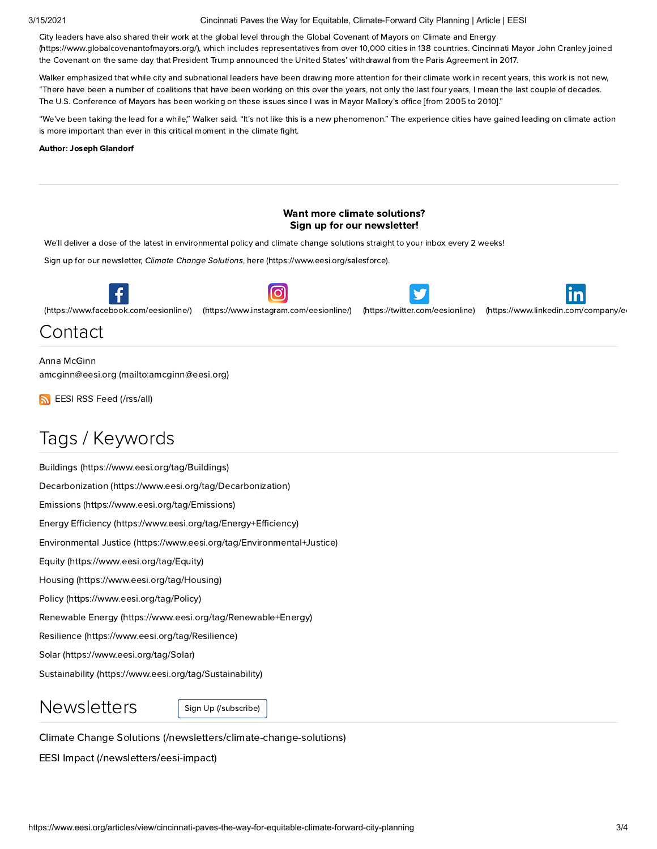# 3/15/2021 Cincinnati Paves the Way for Equitable, Climate-Forward City Planning | Article | EESI

City leaders have also shared their work at the global level through the Global Covenant of Mayors on Climate and Energy [\(https://www.globalcovenantofmayors.org/\),](https://www.globalcovenantofmayors.org/) which includes representatives from over 10,000 cities in 138 countries. Cincinnati Mayor John Cranley joined the Covenant on the same day that President Trump announced the United States' withdrawal from the Paris Agreement in 2017.

Walker emphasized that while city and subnational leaders have been drawing more attention for their climate work in recent years, this work is not new, "There have been a number of coalitions that have been working on this over the years, not only the last four years, I mean the last couple of decades. The U.S. Conference of Mayors has been working on these issues since I was in Mayor Mallory's office [from 2005 to 2010]."

"We've been taking the lead for a while," Walker said. "It's not like this is a new phenomenon." The experience cities have gained leading on climate action is more important than ever in this critical moment in the climate fight.

### Author: Joseph Glandorf



Renewable Energy [\(https://www.eesi.org/tag/Renewable+Energy\)](https://www.eesi.org/tag/Renewable+Energy)

Resilience [\(https://www.eesi.org/tag/Resilience\)](https://www.eesi.org/tag/Resilience)

Solar [\(https://www.eesi.org/tag/Solar\)](https://www.eesi.org/tag/Solar)

Sustainability [\(https://www.eesi.org/tag/Sustainability\)](https://www.eesi.org/tag/Sustainability)

 $Newsleters$  Sign Up [\(/subscribe\)](https://www.eesi.org/subscribe)

Climate Change Solutions [\(/newsletters/climate-change-solutions\)](https://www.eesi.org/newsletters/climate-change-solutions)

EESI Impact [\(/newsletters/eesi-impact\)](https://www.eesi.org/newsletters/eesi-impact)